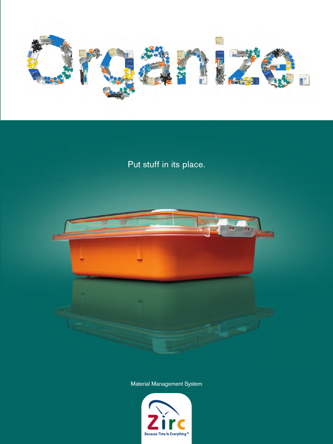

Put stuff in its place.



Material Management System

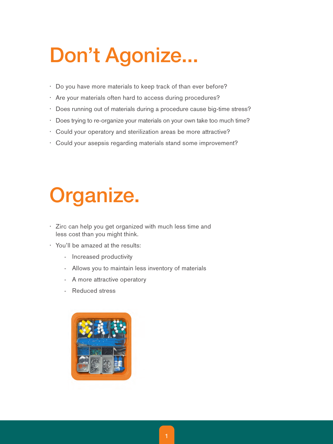# **Don't Agonize...**

- Do you have more materials to keep track of than ever before?
- Are your materials often hard to access during procedures?
- Does running out of materials during a procedure cause big-time stress?
- Does trying to re-organize your materials on your own take too much time?
- Could your operatory and sterilization areas be more attractive?
- Could your asepsis regarding materials stand some improvement?

# **Organize.**

- Zirc can help you get organized with much less time and less cost than you might think.
- You'll be amazed at the results:
	- Increased productivity
	- Allows you to maintain less inventory of materials
	- A more attractive operatory
	- Reduced stress

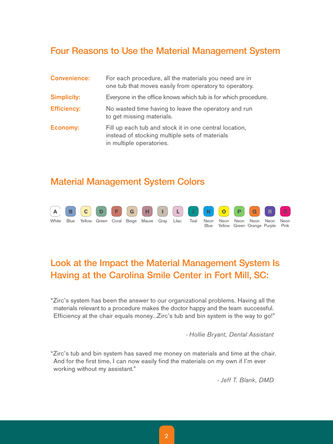### **Four Reasons to Use the Material Management System**

| <b>Convenience:</b> | For each procedure, all the materials you need are in<br>one tub that moves easily from operatory to operatory.                      |
|---------------------|--------------------------------------------------------------------------------------------------------------------------------------|
| <b>Simplicity:</b>  | Everyone in the office knows which tub is for which procedure.                                                                       |
| <b>Efficiency:</b>  | No wasted time having to leave the operatory and run<br>to get missing materials.                                                    |
| <b>Economy:</b>     | Fill up each tub and stock it in one central location,<br>instead of stocking multiple sets of materials<br>in multiple operatories. |

#### **Material Management System Colors**



# **Look at the Impact the Material Management System Is Having at the Carolina Smile Center in Fort Mill, SC:**

"Zirc's system has been the answer to our organizational problems. Having all the materials relevant to a procedure makes the doctor happy and the team successful. Efficiency at the chair equals money...Zirc's tub and bin system is the way to go!"

- Hollie Bryant, Dental Assistant

"Zirc's tub and bin system has saved me money on materials and time at the chair. And for the first time, I can now easily find the materials on my own if I'm ever working without my assistant."

- Jeff T. Blank, DMD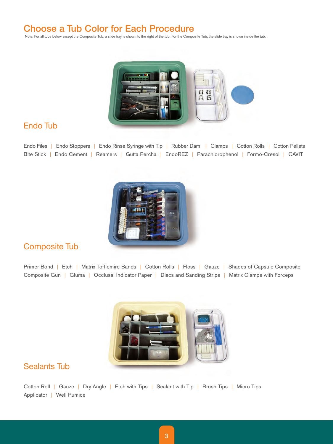## **Choose a Tub Color for Each Procedure**

Note: For all tubs below except the Composite Tub, a slide tray is shown to the right of the tub. For the Composite Tub, the slide tray is shown inside the tub.



#### Endo Tub

Endo Files | Endo Stoppers | Endo Rinse Syringe with Tip | Rubber Dam | Clamps | Cotton Rolls | Cotton Pellets Bite Stick | Endo Cement | Reamers | Gutta Percha | EndoREZ | Parachlorophenol | Formo-Cresol | CAVIT



#### Composite Tub

Primer Bond | Etch | Matrix Tofflemire Bands | Cotton Rolls | Floss | Gauze | Shades of Capsule Composite Composite Gun | Gluma | Occlusal Indicator Paper | Discs and Sanding Strips | Matrix Clamps with Forceps



#### Sealants Tub

Cotton Roll | Gauze | Dry Angle | Etch with Tips | Sealant with Tip | Brush Tips | Micro Tips Applicator | Well Pumice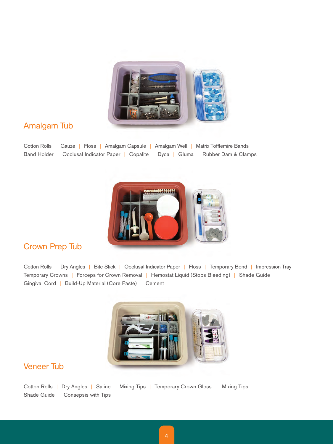

#### Amalgam Tub

Cotton Rolls | Gauze | Floss | Amalgam Capsule | Amalgam Well | Matrix Tofflemire Bands Band Holder | Occlusal Indicator Paper | Copalite | Dyca | Gluma | Rubber Dam & Clamps



#### Crown Prep Tub

Cotton Rolls | Dry Angles | Bite Stick | Occlusal Indicator Paper | Floss | Temporary Bond | Impression Tray Temporary Crowns | Forceps for Crown Removal | Hemostat Liquid (Stops Bleeding) | Shade Guide Gingival Cord | Build-Up Material (Core Paste) | Cement



#### Veneer Tub

Cotton Rolls | Dry Angles | Saline | Mixing Tips | Temporary Crown Gloss | Mixing Tips Shade Guide | Consepsis with Tips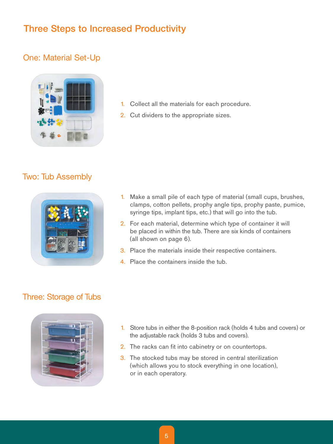# **Three Steps to Increased Productivity**

#### One: Material Set-Up



- 1. Collect all the materials for each procedure.
- 2. Cut dividers to the appropriate sizes.

### Two: Tub Assembly



- 1. Make a small pile of each type of material (small cups, brushes, clamps, cotton pellets, prophy angle tips, prophy paste, pumice, syringe tips, implant tips, etc.) that will go into the tub.
- 2. For each material, determine which type of container it will be placed in within the tub. There are six kinds of containers (all shown on page 6).
- 3. Place the materials inside their respective containers.
- 4. Place the containers inside the tub.

#### Three: Storage of Tubs



- 1. Store tubs in either the 8-position rack (holds 4 tubs and covers) or the adjustable rack (holds 3 tubs and covers).
- 2. The racks can fit into cabinetry or on countertops.
- 3. The stocked tubs may be stored in central sterilization (which allows you to stock everything in one location), or in each operatory.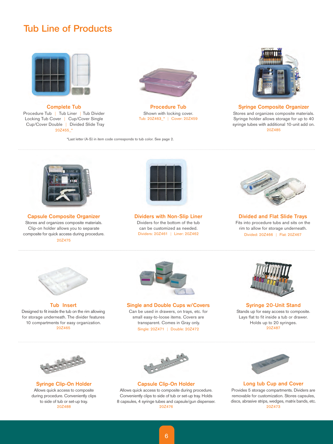### **Tub Line of Products**



Complete Tub Procedure Tub | Tub Liner | Tub Divider Locking Tub Cover | Cup/Cover Single Cup/Cover Double | Divided Slide Tray 20Z455\_\*



Procedure Tub Shown with locking cover. Tub: 20Z463\_\* | Cover: 20Z459

\*Last letter (A-S) in item code corresponds to tub color. See page 2.



Syringe Composite Organizer

Stores and organizes composite materials. Syringe holder allows storage for up to 40 syringe tubes with additional 10-unit add on. 20Z485



Capsule Composite Organizer Stores and organizes composite materials. Clip-on holder allows you to separate composite for quick access during procedure. 20Z475



Dividers with Non-Slip Liner Dividers for the bottom of the tub can be customized as needed. Dividers: 20Z461 | Liner: 20Z462



Divided and Flat Slide Trays Fits into procedure tubs and sits on the rim to allow for storage underneath. Divided: 20Z466 | Flat: 20Z467



Tub Insert Designed to fit inside the tub on the rim allowing for storage underneath. The divider features 10 compartments for easy organization. 20Z465



Single and Double Cups w/Covers Can be used in drawers, on trays, etc. for small easy-to-loose items. Covers are transparent. Comes in Gray only.

Single: 20Z471 | Double: 20Z472



Syringe 20-Unit Stand Stands up for easy access to composite. Lays flat to fit inside a tub or drawer. Holds up to 20 syringes. 20Z487



Syringe Clip-On Holder Allows quick access to composite during procedure. Conveniently clips to side of tub or set-up tray. 20Z488



Capsule Clip-On Holder Allows quick access to composite during procedure.

Conveniently clips to side of tub or set-up tray. Holds 8 capsules, 4 syringe tubes and capsule/gun dispenser. 20Z476



#### Long tub Cup and Cover

Provides 5 storage compartments. Dividers are removable for customization. Stores capsules, discs, abrasive strips, wedges, matrix bands, etc. 20Z473